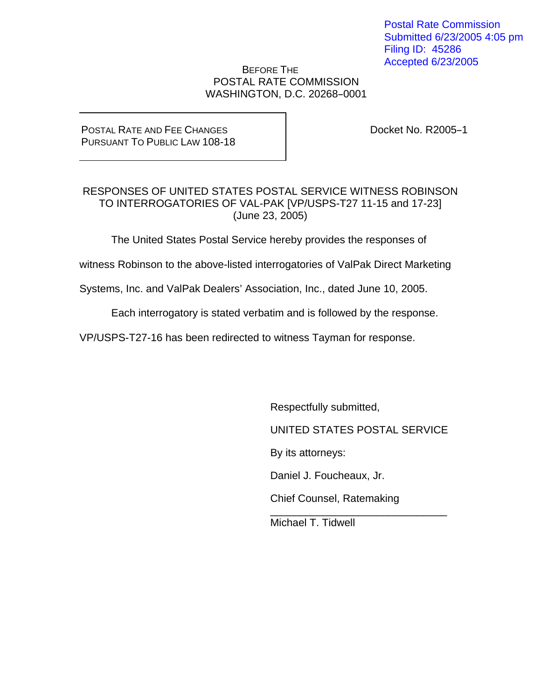Postal Rate Commission Submitted 6/23/2005 4:05 pm Filing ID: 45286 Accepted 6/23/2005

#### BEFORE THE POSTAL RATE COMMISSION WASHINGTON, D.C. 20268-0001

#### POSTAL RATE AND FEE CHANGES PURSUANT TO PUBLIC LAW 108-18

Docket No. R2005-1

#### RESPONSES OF UNITED STATES POSTAL SERVICE WITNESS ROBINSON TO INTERROGATORIES OF VAL-PAK [VP/USPS-T27 11-15 and 17-23] (June 23, 2005)

The United States Postal Service hereby provides the responses of

witness Robinson to the above-listed interrogatories of ValPak Direct Marketing

Systems, Inc. and ValPak Dealers' Association, Inc., dated June 10, 2005.

Each interrogatory is stated verbatim and is followed by the response.

VP/USPS-T27-16 has been redirected to witness Tayman for response.

 $\overline{\phantom{a}}$  , and the contract of the contract of the contract of the contract of the contract of the contract of the contract of the contract of the contract of the contract of the contract of the contract of the contrac

Respectfully submitted,

UNITED STATES POSTAL SERVICE

By its attorneys:

Daniel J. Foucheaux, Jr.

Chief Counsel, Ratemaking

Michael T. Tidwell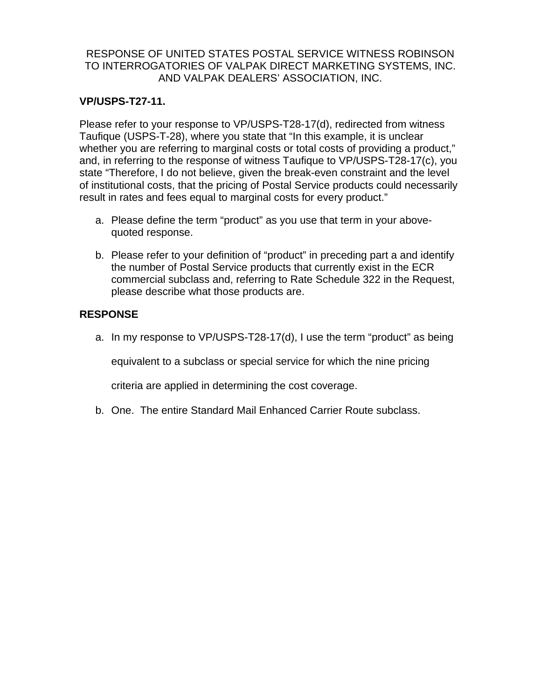## **VP/USPS-T27-11.**

Please refer to your response to VP/USPS-T28-17(d), redirected from witness Taufique (USPS-T-28), where you state that "In this example, it is unclear whether you are referring to marginal costs or total costs of providing a product," and, in referring to the response of witness Taufique to VP/USPS-T28-17(c), you state "Therefore, I do not believe, given the break-even constraint and the level of institutional costs, that the pricing of Postal Service products could necessarily result in rates and fees equal to marginal costs for every product."

- a. Please define the term "product" as you use that term in your abovequoted response.
- b. Please refer to your definition of "product" in preceding part a and identify the number of Postal Service products that currently exist in the ECR commercial subclass and, referring to Rate Schedule 322 in the Request, please describe what those products are.

# **RESPONSE**

a. In my response to VP/USPS-T28-17(d), I use the term "product" as being

equivalent to a subclass or special service for which the nine pricing

criteria are applied in determining the cost coverage.

b. One. The entire Standard Mail Enhanced Carrier Route subclass.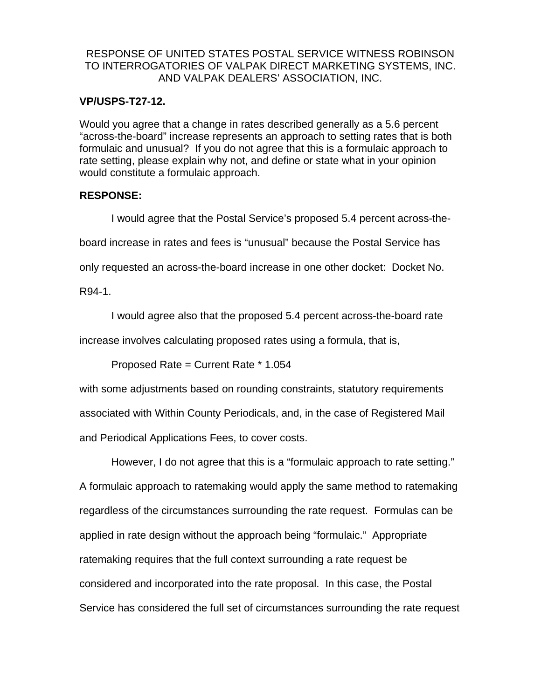#### **VP/USPS-T27-12.**

Would you agree that a change in rates described generally as a 5.6 percent "across-the-board" increase represents an approach to setting rates that is both formulaic and unusual? If you do not agree that this is a formulaic approach to rate setting, please explain why not, and define or state what in your opinion would constitute a formulaic approach.

#### **RESPONSE:**

I would agree that the Postal Service's proposed 5.4 percent across-theboard increase in rates and fees is "unusual" because the Postal Service has only requested an across-the-board increase in one other docket: Docket No.

R94-1.

I would agree also that the proposed 5.4 percent across-the-board rate

increase involves calculating proposed rates using a formula, that is,

Proposed Rate = Current Rate \* 1.054

with some adjustments based on rounding constraints, statutory requirements associated with Within County Periodicals, and, in the case of Registered Mail and Periodical Applications Fees, to cover costs.

However, I do not agree that this is a "formulaic approach to rate setting." A formulaic approach to ratemaking would apply the same method to ratemaking regardless of the circumstances surrounding the rate request. Formulas can be applied in rate design without the approach being "formulaic." Appropriate ratemaking requires that the full context surrounding a rate request be considered and incorporated into the rate proposal. In this case, the Postal Service has considered the full set of circumstances surrounding the rate request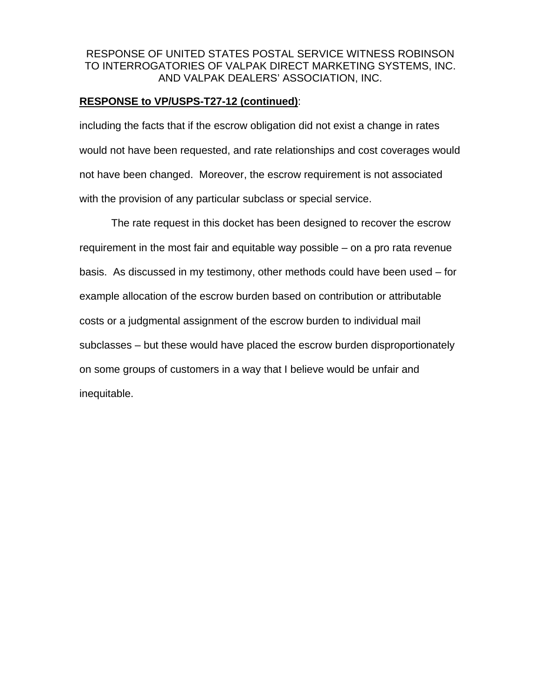#### **RESPONSE to VP/USPS-T27-12 (continued)**:

including the facts that if the escrow obligation did not exist a change in rates would not have been requested, and rate relationships and cost coverages would not have been changed. Moreover, the escrow requirement is not associated with the provision of any particular subclass or special service.

The rate request in this docket has been designed to recover the escrow requirement in the most fair and equitable way possible – on a pro rata revenue basis. As discussed in my testimony, other methods could have been used – for example allocation of the escrow burden based on contribution or attributable costs or a judgmental assignment of the escrow burden to individual mail subclasses – but these would have placed the escrow burden disproportionately on some groups of customers in a way that I believe would be unfair and inequitable.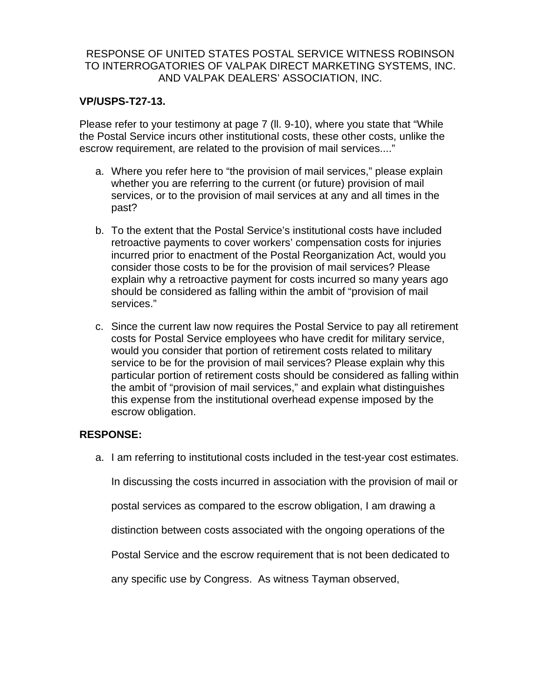## **VP/USPS-T27-13.**

Please refer to your testimony at page 7 (ll. 9-10), where you state that "While the Postal Service incurs other institutional costs, these other costs, unlike the escrow requirement, are related to the provision of mail services...."

- a. Where you refer here to "the provision of mail services," please explain whether you are referring to the current (or future) provision of mail services, or to the provision of mail services at any and all times in the past?
- b. To the extent that the Postal Service's institutional costs have included retroactive payments to cover workers' compensation costs for injuries incurred prior to enactment of the Postal Reorganization Act, would you consider those costs to be for the provision of mail services? Please explain why a retroactive payment for costs incurred so many years ago should be considered as falling within the ambit of "provision of mail services."
- c. Since the current law now requires the Postal Service to pay all retirement costs for Postal Service employees who have credit for military service, would you consider that portion of retirement costs related to military service to be for the provision of mail services? Please explain why this particular portion of retirement costs should be considered as falling within the ambit of "provision of mail services," and explain what distinguishes this expense from the institutional overhead expense imposed by the escrow obligation.

## **RESPONSE:**

a. I am referring to institutional costs included in the test-year cost estimates.

In discussing the costs incurred in association with the provision of mail or

postal services as compared to the escrow obligation, I am drawing a

distinction between costs associated with the ongoing operations of the

Postal Service and the escrow requirement that is not been dedicated to

any specific use by Congress. As witness Tayman observed,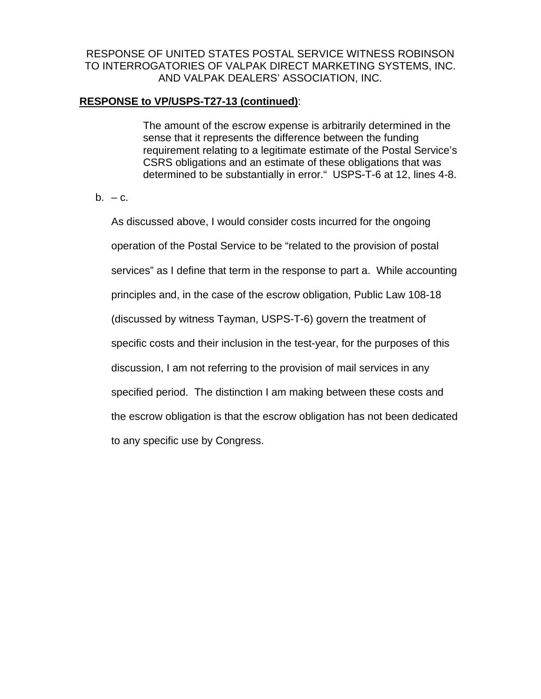### **RESPONSE to VP/USPS-T27-13 (continued)**:

The amount of the escrow expense is arbitrarily determined in the sense that it represents the difference between the funding requirement relating to a legitimate estimate of the Postal Service's CSRS obligations and an estimate of these obligations that was determined to be substantially in error." USPS-T-6 at 12, lines 4-8.

#### $b. -c.$

As discussed above, I would consider costs incurred for the ongoing operation of the Postal Service to be "related to the provision of postal services" as I define that term in the response to part a. While accounting principles and, in the case of the escrow obligation, Public Law 108-18 (discussed by witness Tayman, USPS-T-6) govern the treatment of specific costs and their inclusion in the test-year, for the purposes of this discussion, I am not referring to the provision of mail services in any specified period. The distinction I am making between these costs and the escrow obligation is that the escrow obligation has not been dedicated to any specific use by Congress.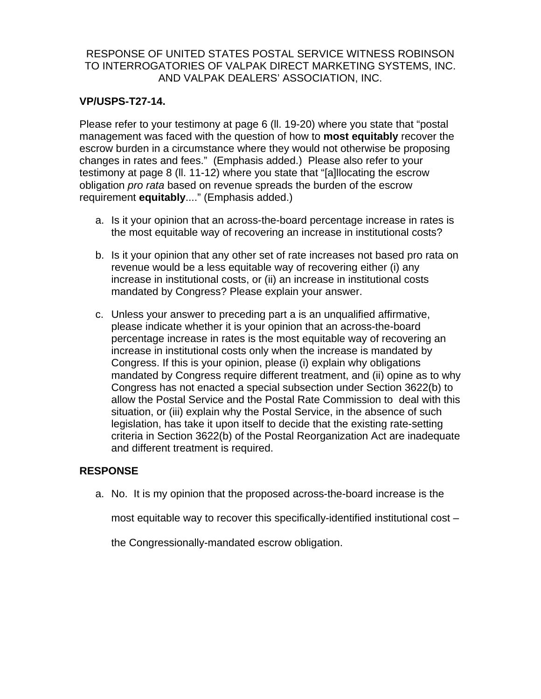## **VP/USPS-T27-14.**

Please refer to your testimony at page 6 (ll. 19-20) where you state that "postal management was faced with the question of how to **most equitably** recover the escrow burden in a circumstance where they would not otherwise be proposing changes in rates and fees." (Emphasis added.) Please also refer to your testimony at page 8 (ll. 11-12) where you state that "[a]llocating the escrow obligation *pro rata* based on revenue spreads the burden of the escrow requirement **equitably**...." (Emphasis added.)

- a. Is it your opinion that an across-the-board percentage increase in rates is the most equitable way of recovering an increase in institutional costs?
- b. Is it your opinion that any other set of rate increases not based pro rata on revenue would be a less equitable way of recovering either (i) any increase in institutional costs, or (ii) an increase in institutional costs mandated by Congress? Please explain your answer.
- c. Unless your answer to preceding part a is an unqualified affirmative, please indicate whether it is your opinion that an across-the-board percentage increase in rates is the most equitable way of recovering an increase in institutional costs only when the increase is mandated by Congress. If this is your opinion, please (i) explain why obligations mandated by Congress require different treatment, and (ii) opine as to why Congress has not enacted a special subsection under Section 3622(b) to allow the Postal Service and the Postal Rate Commission to deal with this situation, or (iii) explain why the Postal Service, in the absence of such legislation, has take it upon itself to decide that the existing rate-setting criteria in Section 3622(b) of the Postal Reorganization Act are inadequate and different treatment is required.

## **RESPONSE**

a. No. It is my opinion that the proposed across-the-board increase is the

most equitable way to recover this specifically-identified institutional cost –

the Congressionally-mandated escrow obligation.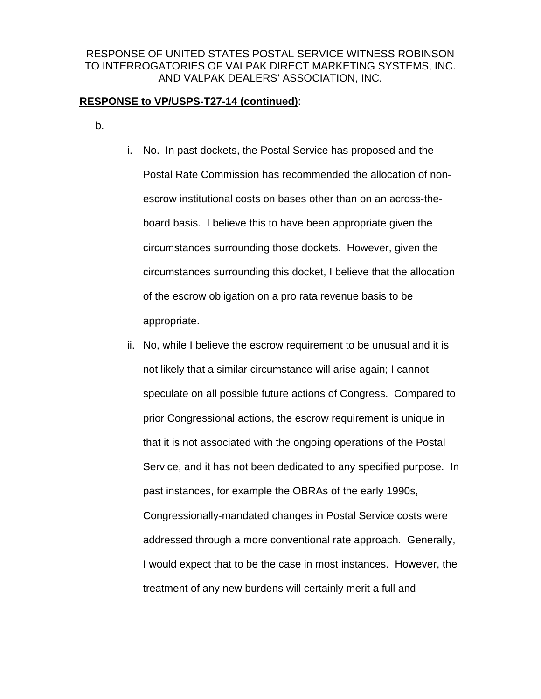#### **RESPONSE to VP/USPS-T27-14 (continued)**:

b.

- i. No. In past dockets, the Postal Service has proposed and the Postal Rate Commission has recommended the allocation of nonescrow institutional costs on bases other than on an across-theboard basis. I believe this to have been appropriate given the circumstances surrounding those dockets. However, given the circumstances surrounding this docket, I believe that the allocation of the escrow obligation on a pro rata revenue basis to be appropriate.
- ii. No, while I believe the escrow requirement to be unusual and it is not likely that a similar circumstance will arise again; I cannot speculate on all possible future actions of Congress. Compared to prior Congressional actions, the escrow requirement is unique in that it is not associated with the ongoing operations of the Postal Service, and it has not been dedicated to any specified purpose. In past instances, for example the OBRAs of the early 1990s, Congressionally-mandated changes in Postal Service costs were addressed through a more conventional rate approach. Generally, I would expect that to be the case in most instances. However, the treatment of any new burdens will certainly merit a full and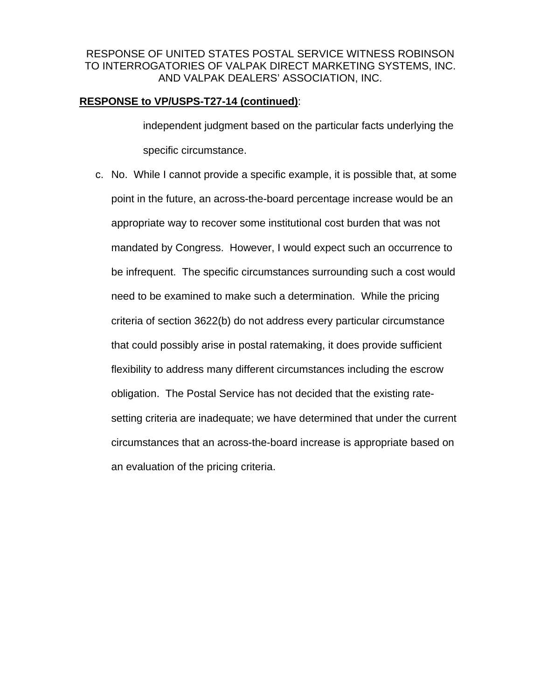#### **RESPONSE to VP/USPS-T27-14 (continued)**:

independent judgment based on the particular facts underlying the specific circumstance.

c. No. While I cannot provide a specific example, it is possible that, at some point in the future, an across-the-board percentage increase would be an appropriate way to recover some institutional cost burden that was not mandated by Congress. However, I would expect such an occurrence to be infrequent. The specific circumstances surrounding such a cost would need to be examined to make such a determination. While the pricing criteria of section 3622(b) do not address every particular circumstance that could possibly arise in postal ratemaking, it does provide sufficient flexibility to address many different circumstances including the escrow obligation. The Postal Service has not decided that the existing ratesetting criteria are inadequate; we have determined that under the current circumstances that an across-the-board increase is appropriate based on an evaluation of the pricing criteria.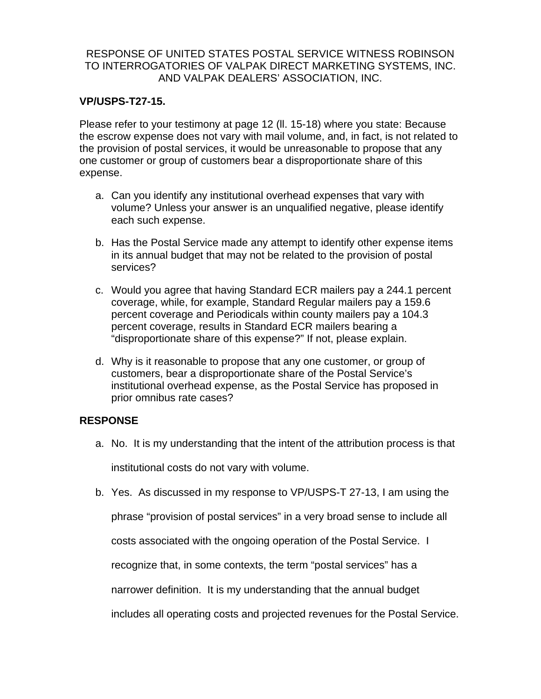### **VP/USPS-T27-15.**

Please refer to your testimony at page 12 (ll. 15-18) where you state: Because the escrow expense does not vary with mail volume, and, in fact, is not related to the provision of postal services, it would be unreasonable to propose that any one customer or group of customers bear a disproportionate share of this expense.

- a. Can you identify any institutional overhead expenses that vary with volume? Unless your answer is an unqualified negative, please identify each such expense.
- b. Has the Postal Service made any attempt to identify other expense items in its annual budget that may not be related to the provision of postal services?
- c. Would you agree that having Standard ECR mailers pay a 244.1 percent coverage, while, for example, Standard Regular mailers pay a 159.6 percent coverage and Periodicals within county mailers pay a 104.3 percent coverage, results in Standard ECR mailers bearing a "disproportionate share of this expense?" If not, please explain.
- d. Why is it reasonable to propose that any one customer, or group of customers, bear a disproportionate share of the Postal Service's institutional overhead expense, as the Postal Service has proposed in prior omnibus rate cases?

## **RESPONSE**

- a. No. It is my understanding that the intent of the attribution process is that institutional costs do not vary with volume.
- b. Yes. As discussed in my response to VP/USPS-T 27-13, I am using the
	- phrase "provision of postal services" in a very broad sense to include all

costs associated with the ongoing operation of the Postal Service. I

recognize that, in some contexts, the term "postal services" has a

narrower definition. It is my understanding that the annual budget

includes all operating costs and projected revenues for the Postal Service.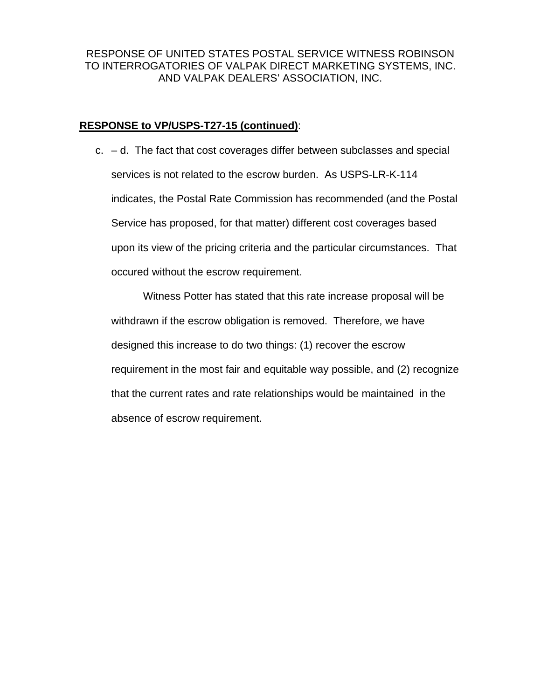#### **RESPONSE to VP/USPS-T27-15 (continued)**:

 $c. - d.$  The fact that cost coverages differ between subclasses and special services is not related to the escrow burden. As USPS-LR-K-114 indicates, the Postal Rate Commission has recommended (and the Postal Service has proposed, for that matter) different cost coverages based upon its view of the pricing criteria and the particular circumstances. That occured without the escrow requirement.

Witness Potter has stated that this rate increase proposal will be withdrawn if the escrow obligation is removed. Therefore, we have designed this increase to do two things: (1) recover the escrow requirement in the most fair and equitable way possible, and (2) recognize that the current rates and rate relationships would be maintained in the absence of escrow requirement.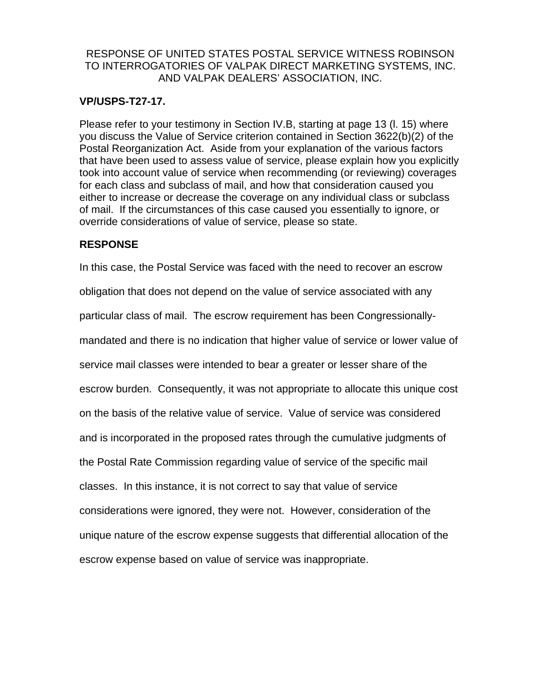### **VP/USPS-T27-17.**

Please refer to your testimony in Section IV.B, starting at page 13 (l. 15) where you discuss the Value of Service criterion contained in Section 3622(b)(2) of the Postal Reorganization Act. Aside from your explanation of the various factors that have been used to assess value of service, please explain how you explicitly took into account value of service when recommending (or reviewing) coverages for each class and subclass of mail, and how that consideration caused you either to increase or decrease the coverage on any individual class or subclass of mail. If the circumstances of this case caused you essentially to ignore, or override considerations of value of service, please so state.

## **RESPONSE**

In this case, the Postal Service was faced with the need to recover an escrow obligation that does not depend on the value of service associated with any particular class of mail. The escrow requirement has been Congressionallymandated and there is no indication that higher value of service or lower value of service mail classes were intended to bear a greater or lesser share of the escrow burden. Consequently, it was not appropriate to allocate this unique cost on the basis of the relative value of service. Value of service was considered and is incorporated in the proposed rates through the cumulative judgments of the Postal Rate Commission regarding value of service of the specific mail classes. In this instance, it is not correct to say that value of service considerations were ignored, they were not. However, consideration of the unique nature of the escrow expense suggests that differential allocation of the escrow expense based on value of service was inappropriate.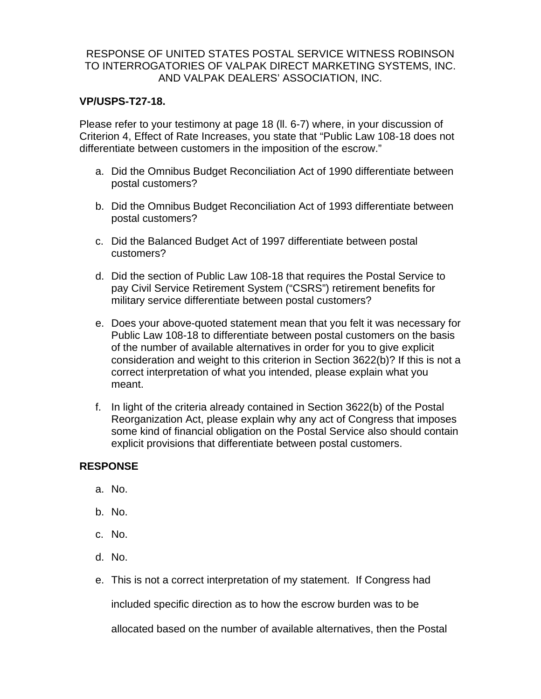### **VP/USPS-T27-18.**

Please refer to your testimony at page 18 (ll. 6-7) where, in your discussion of Criterion 4, Effect of Rate Increases, you state that "Public Law 108-18 does not differentiate between customers in the imposition of the escrow."

- a. Did the Omnibus Budget Reconciliation Act of 1990 differentiate between postal customers?
- b. Did the Omnibus Budget Reconciliation Act of 1993 differentiate between postal customers?
- c. Did the Balanced Budget Act of 1997 differentiate between postal customers?
- d. Did the section of Public Law 108-18 that requires the Postal Service to pay Civil Service Retirement System ("CSRS") retirement benefits for military service differentiate between postal customers?
- e. Does your above-quoted statement mean that you felt it was necessary for Public Law 108-18 to differentiate between postal customers on the basis of the number of available alternatives in order for you to give explicit consideration and weight to this criterion in Section 3622(b)? If this is not a correct interpretation of what you intended, please explain what you meant.
- f. In light of the criteria already contained in Section 3622(b) of the Postal Reorganization Act, please explain why any act of Congress that imposes some kind of financial obligation on the Postal Service also should contain explicit provisions that differentiate between postal customers.

## **RESPONSE**

- a. No.
- b. No.
- c. No.
- d. No.
- e. This is not a correct interpretation of my statement. If Congress had

included specific direction as to how the escrow burden was to be

allocated based on the number of available alternatives, then the Postal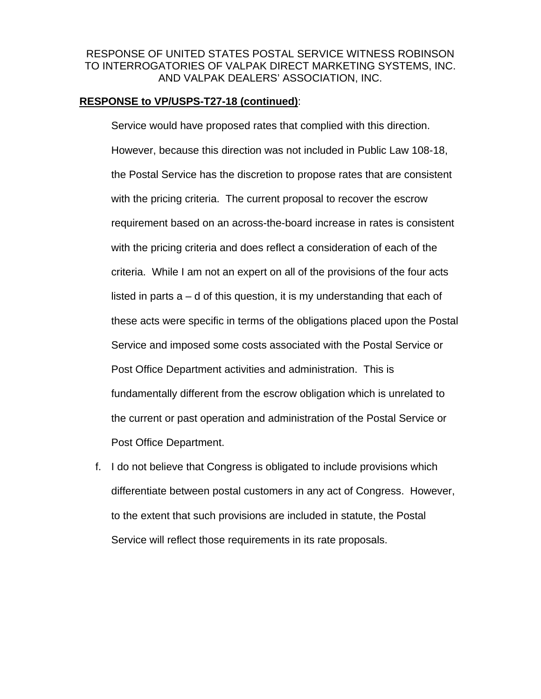#### **RESPONSE to VP/USPS-T27-18 (continued)**:

Service would have proposed rates that complied with this direction. However, because this direction was not included in Public Law 108-18, the Postal Service has the discretion to propose rates that are consistent with the pricing criteria. The current proposal to recover the escrow requirement based on an across-the-board increase in rates is consistent with the pricing criteria and does reflect a consideration of each of the criteria. While I am not an expert on all of the provisions of the four acts listed in parts  $a - d$  of this question, it is my understanding that each of these acts were specific in terms of the obligations placed upon the Postal Service and imposed some costs associated with the Postal Service or Post Office Department activities and administration. This is fundamentally different from the escrow obligation which is unrelated to the current or past operation and administration of the Postal Service or Post Office Department.

f. I do not believe that Congress is obligated to include provisions which differentiate between postal customers in any act of Congress. However, to the extent that such provisions are included in statute, the Postal Service will reflect those requirements in its rate proposals.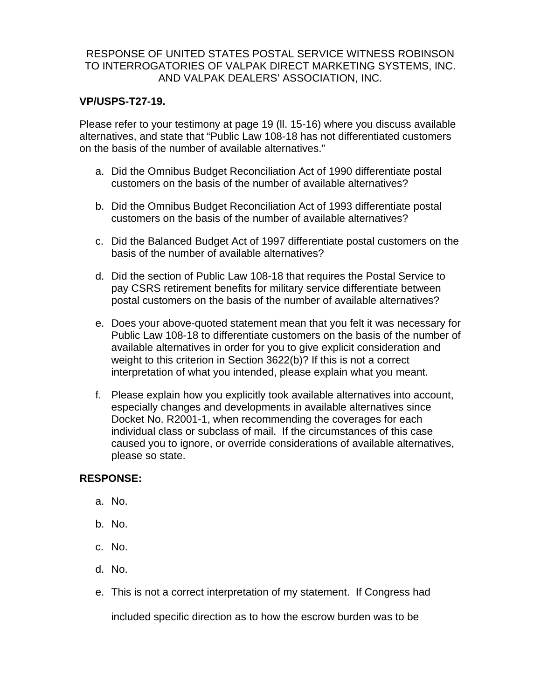### **VP/USPS-T27-19.**

Please refer to your testimony at page 19 (ll. 15-16) where you discuss available alternatives, and state that "Public Law 108-18 has not differentiated customers on the basis of the number of available alternatives."

- a. Did the Omnibus Budget Reconciliation Act of 1990 differentiate postal customers on the basis of the number of available alternatives?
- b. Did the Omnibus Budget Reconciliation Act of 1993 differentiate postal customers on the basis of the number of available alternatives?
- c. Did the Balanced Budget Act of 1997 differentiate postal customers on the basis of the number of available alternatives?
- d. Did the section of Public Law 108-18 that requires the Postal Service to pay CSRS retirement benefits for military service differentiate between postal customers on the basis of the number of available alternatives?
- e. Does your above-quoted statement mean that you felt it was necessary for Public Law 108-18 to differentiate customers on the basis of the number of available alternatives in order for you to give explicit consideration and weight to this criterion in Section 3622(b)? If this is not a correct interpretation of what you intended, please explain what you meant.
- f. Please explain how you explicitly took available alternatives into account, especially changes and developments in available alternatives since Docket No. R2001-1, when recommending the coverages for each individual class or subclass of mail. If the circumstances of this case caused you to ignore, or override considerations of available alternatives, please so state.

## **RESPONSE:**

- a. No.
- b. No.
- c. No.
- d. No.
- e. This is not a correct interpretation of my statement. If Congress had

included specific direction as to how the escrow burden was to be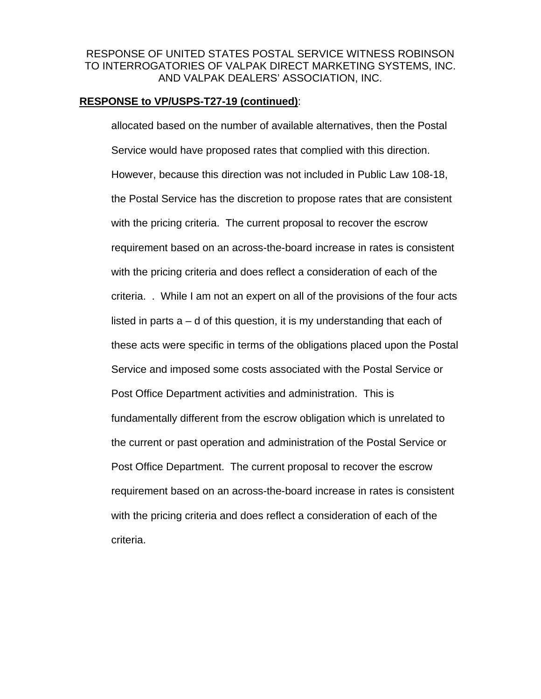#### **RESPONSE to VP/USPS-T27-19 (continued)**:

allocated based on the number of available alternatives, then the Postal Service would have proposed rates that complied with this direction. However, because this direction was not included in Public Law 108-18, the Postal Service has the discretion to propose rates that are consistent with the pricing criteria. The current proposal to recover the escrow requirement based on an across-the-board increase in rates is consistent with the pricing criteria and does reflect a consideration of each of the criteria. . While I am not an expert on all of the provisions of the four acts listed in parts  $a - d$  of this question, it is my understanding that each of these acts were specific in terms of the obligations placed upon the Postal Service and imposed some costs associated with the Postal Service or Post Office Department activities and administration. This is fundamentally different from the escrow obligation which is unrelated to the current or past operation and administration of the Postal Service or Post Office Department. The current proposal to recover the escrow requirement based on an across-the-board increase in rates is consistent with the pricing criteria and does reflect a consideration of each of the criteria.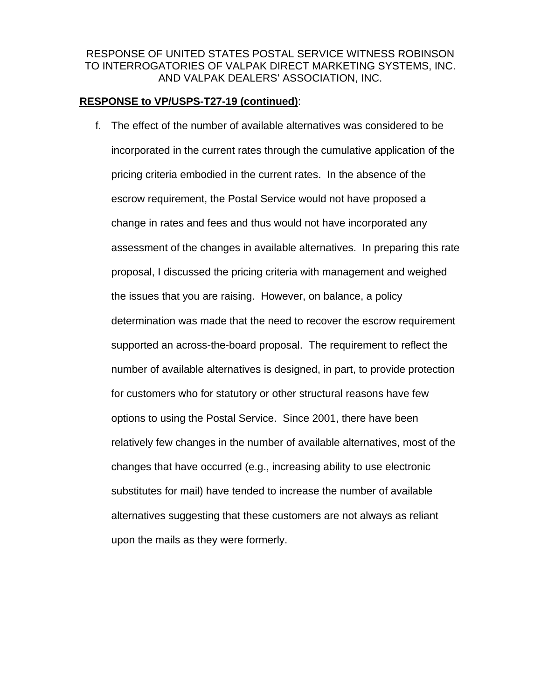### **RESPONSE to VP/USPS-T27-19 (continued)**:

f. The effect of the number of available alternatives was considered to be incorporated in the current rates through the cumulative application of the pricing criteria embodied in the current rates. In the absence of the escrow requirement, the Postal Service would not have proposed a change in rates and fees and thus would not have incorporated any assessment of the changes in available alternatives. In preparing this rate proposal, I discussed the pricing criteria with management and weighed the issues that you are raising. However, on balance, a policy determination was made that the need to recover the escrow requirement supported an across-the-board proposal. The requirement to reflect the number of available alternatives is designed, in part, to provide protection for customers who for statutory or other structural reasons have few options to using the Postal Service. Since 2001, there have been relatively few changes in the number of available alternatives, most of the changes that have occurred (e.g., increasing ability to use electronic substitutes for mail) have tended to increase the number of available alternatives suggesting that these customers are not always as reliant upon the mails as they were formerly.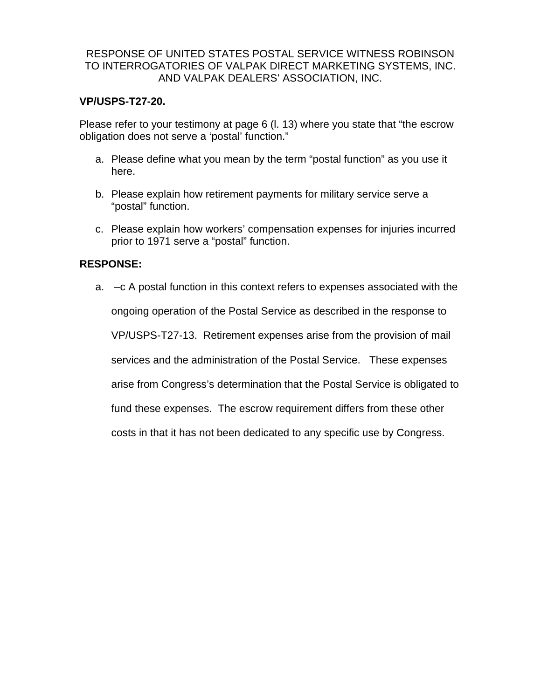#### **VP/USPS-T27-20.**

Please refer to your testimony at page 6 (l. 13) where you state that "the escrow obligation does not serve a 'postal' function."

- a. Please define what you mean by the term "postal function" as you use it here.
- b. Please explain how retirement payments for military service serve a "postal" function.
- c. Please explain how workers' compensation expenses for injuries incurred prior to 1971 serve a "postal" function.

#### **RESPONSE:**

a. –c A postal function in this context refers to expenses associated with the ongoing operation of the Postal Service as described in the response to VP/USPS-T27-13. Retirement expenses arise from the provision of mail services and the administration of the Postal Service. These expenses arise from Congress's determination that the Postal Service is obligated to fund these expenses. The escrow requirement differs from these other costs in that it has not been dedicated to any specific use by Congress.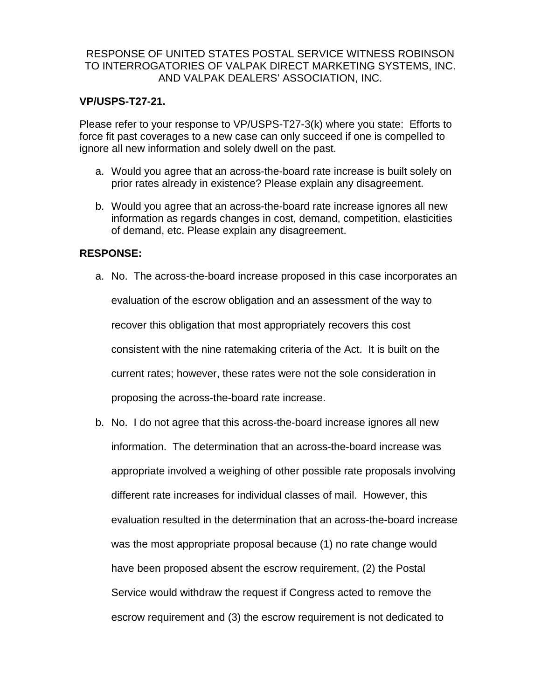#### **VP/USPS-T27-21.**

Please refer to your response to VP/USPS-T27-3(k) where you state: Efforts to force fit past coverages to a new case can only succeed if one is compelled to ignore all new information and solely dwell on the past.

- a. Would you agree that an across-the-board rate increase is built solely on prior rates already in existence? Please explain any disagreement.
- b. Would you agree that an across-the-board rate increase ignores all new information as regards changes in cost, demand, competition, elasticities of demand, etc. Please explain any disagreement.

#### **RESPONSE:**

- a. No. The across-the-board increase proposed in this case incorporates an evaluation of the escrow obligation and an assessment of the way to recover this obligation that most appropriately recovers this cost consistent with the nine ratemaking criteria of the Act. It is built on the current rates; however, these rates were not the sole consideration in proposing the across-the-board rate increase.
- b. No. I do not agree that this across-the-board increase ignores all new information. The determination that an across-the-board increase was appropriate involved a weighing of other possible rate proposals involving different rate increases for individual classes of mail. However, this evaluation resulted in the determination that an across-the-board increase was the most appropriate proposal because (1) no rate change would have been proposed absent the escrow requirement, (2) the Postal Service would withdraw the request if Congress acted to remove the escrow requirement and (3) the escrow requirement is not dedicated to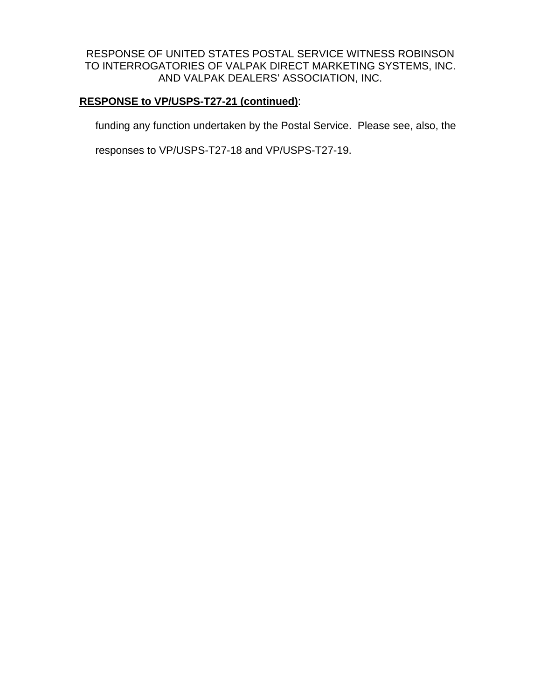## **RESPONSE to VP/USPS-T27-21 (continued)**:

funding any function undertaken by the Postal Service. Please see, also, the

responses to VP/USPS-T27-18 and VP/USPS-T27-19.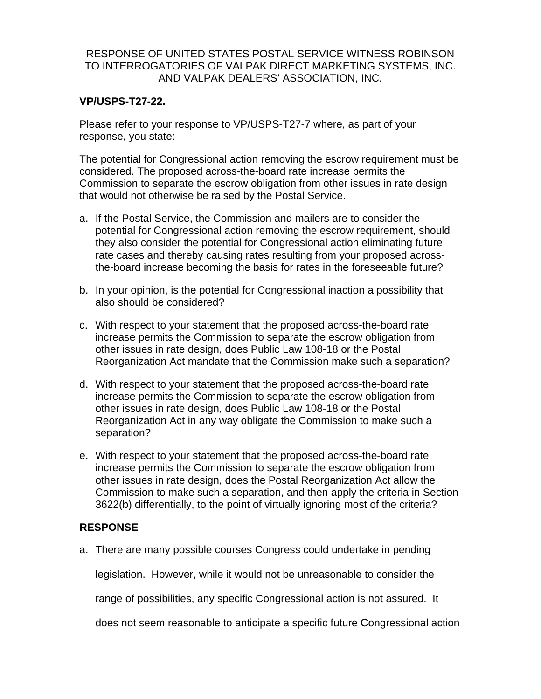### **VP/USPS-T27-22.**

Please refer to your response to VP/USPS-T27-7 where, as part of your response, you state:

The potential for Congressional action removing the escrow requirement must be considered. The proposed across-the-board rate increase permits the Commission to separate the escrow obligation from other issues in rate design that would not otherwise be raised by the Postal Service.

- a. If the Postal Service, the Commission and mailers are to consider the potential for Congressional action removing the escrow requirement, should they also consider the potential for Congressional action eliminating future rate cases and thereby causing rates resulting from your proposed acrossthe-board increase becoming the basis for rates in the foreseeable future?
- b. In your opinion, is the potential for Congressional inaction a possibility that also should be considered?
- c. With respect to your statement that the proposed across-the-board rate increase permits the Commission to separate the escrow obligation from other issues in rate design, does Public Law 108-18 or the Postal Reorganization Act mandate that the Commission make such a separation?
- d. With respect to your statement that the proposed across-the-board rate increase permits the Commission to separate the escrow obligation from other issues in rate design, does Public Law 108-18 or the Postal Reorganization Act in any way obligate the Commission to make such a separation?
- e. With respect to your statement that the proposed across-the-board rate increase permits the Commission to separate the escrow obligation from other issues in rate design, does the Postal Reorganization Act allow the Commission to make such a separation, and then apply the criteria in Section 3622(b) differentially, to the point of virtually ignoring most of the criteria?

## **RESPONSE**

a. There are many possible courses Congress could undertake in pending

legislation. However, while it would not be unreasonable to consider the

range of possibilities, any specific Congressional action is not assured. It

does not seem reasonable to anticipate a specific future Congressional action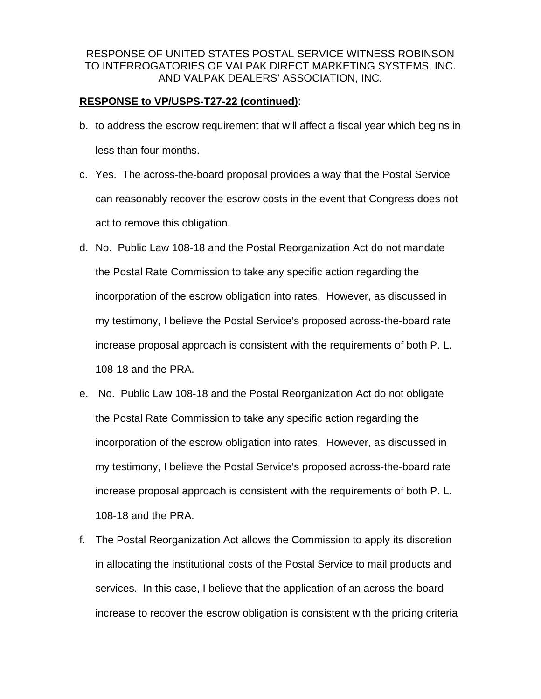#### **RESPONSE to VP/USPS-T27-22 (continued)**:

- b. to address the escrow requirement that will affect a fiscal year which begins in less than four months.
- c. Yes. The across-the-board proposal provides a way that the Postal Service can reasonably recover the escrow costs in the event that Congress does not act to remove this obligation.
- d. No. Public Law 108-18 and the Postal Reorganization Act do not mandate the Postal Rate Commission to take any specific action regarding the incorporation of the escrow obligation into rates. However, as discussed in my testimony, I believe the Postal Service's proposed across-the-board rate increase proposal approach is consistent with the requirements of both P. L. 108-18 and the PRA.
- e. No. Public Law 108-18 and the Postal Reorganization Act do not obligate the Postal Rate Commission to take any specific action regarding the incorporation of the escrow obligation into rates. However, as discussed in my testimony, I believe the Postal Service's proposed across-the-board rate increase proposal approach is consistent with the requirements of both P. L. 108-18 and the PRA.
- f. The Postal Reorganization Act allows the Commission to apply its discretion in allocating the institutional costs of the Postal Service to mail products and services. In this case, I believe that the application of an across-the-board increase to recover the escrow obligation is consistent with the pricing criteria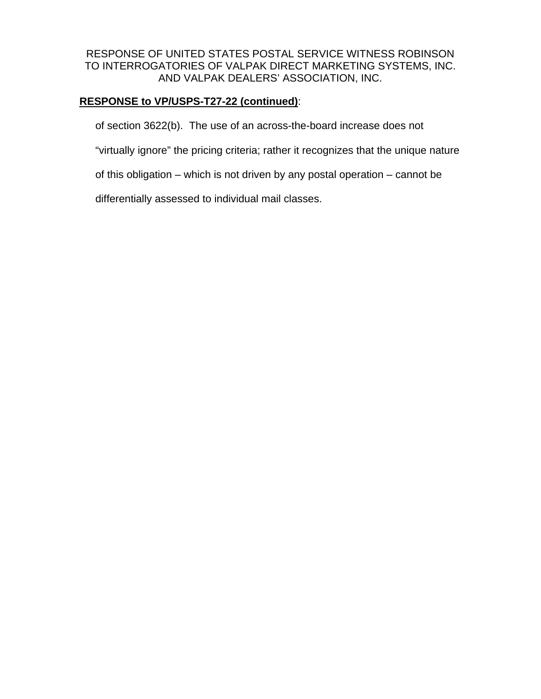# **RESPONSE to VP/USPS-T27-22 (continued)**:

of section 3622(b). The use of an across-the-board increase does not

"virtually ignore" the pricing criteria; rather it recognizes that the unique nature

of this obligation – which is not driven by any postal operation – cannot be

differentially assessed to individual mail classes.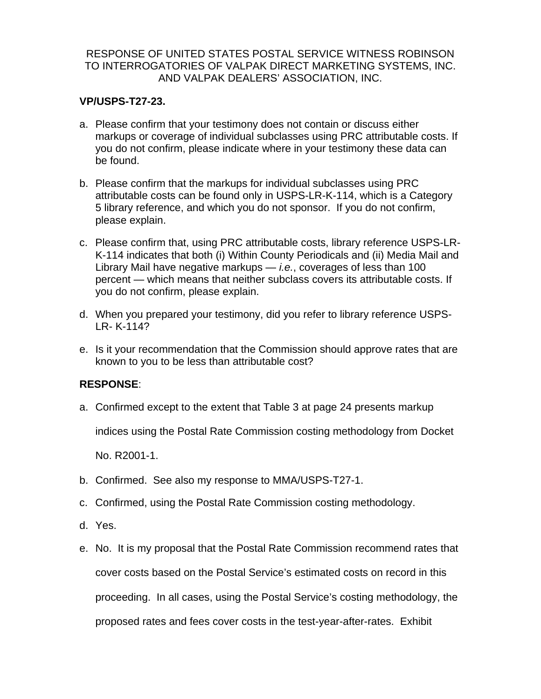### **VP/USPS-T27-23.**

- a. Please confirm that your testimony does not contain or discuss either markups or coverage of individual subclasses using PRC attributable costs. If you do not confirm, please indicate where in your testimony these data can be found.
- b. Please confirm that the markups for individual subclasses using PRC attributable costs can be found only in USPS-LR-K-114, which is a Category 5 library reference, and which you do not sponsor. If you do not confirm, please explain.
- c. Please confirm that, using PRC attributable costs, library reference USPS-LR-K-114 indicates that both (i) Within County Periodicals and (ii) Media Mail and Library Mail have negative markups — *i.e.*, coverages of less than 100 percent — which means that neither subclass covers its attributable costs. If you do not confirm, please explain.
- d. When you prepared your testimony, did you refer to library reference USPS-LR- K-114?
- e. Is it your recommendation that the Commission should approve rates that are known to you to be less than attributable cost?

## **RESPONSE**:

a. Confirmed except to the extent that Table 3 at page 24 presents markup

indices using the Postal Rate Commission costing methodology from Docket

No. R2001-1.

- b. Confirmed. See also my response to MMA/USPS-T27-1.
- c. Confirmed, using the Postal Rate Commission costing methodology.
- d. Yes.
- e. No. It is my proposal that the Postal Rate Commission recommend rates that cover costs based on the Postal Service's estimated costs on record in this proceeding. In all cases, using the Postal Service's costing methodology, the proposed rates and fees cover costs in the test-year-after-rates. Exhibit